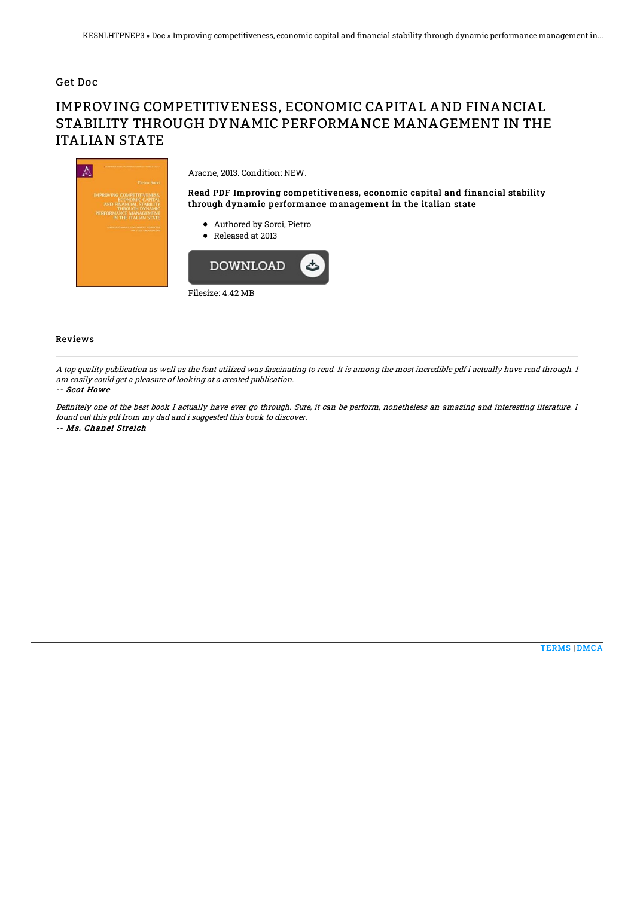### Get Doc

# IMPROVING COMPETITIVENESS, ECONOMIC CAPITAL AND FINANCIAL STABILITY THROUGH DYNAMIC PERFORMANCE MANAGEMENT IN THE ITALIAN STATE



#### Reviews

A top quality publication as well as the font utilized was fascinating to read. It is among the most incredible pdf i actually have read through. I am easily could get <sup>a</sup> pleasure of looking at <sup>a</sup> created publication.

#### -- Scot Howe

Definitely one of the best book I actually have ever go through. Sure, it can be perform, nonetheless an amazing and interesting literature. I found out this pdf from my dad and i suggested this book to discover.

-- Ms. Chanel Streich